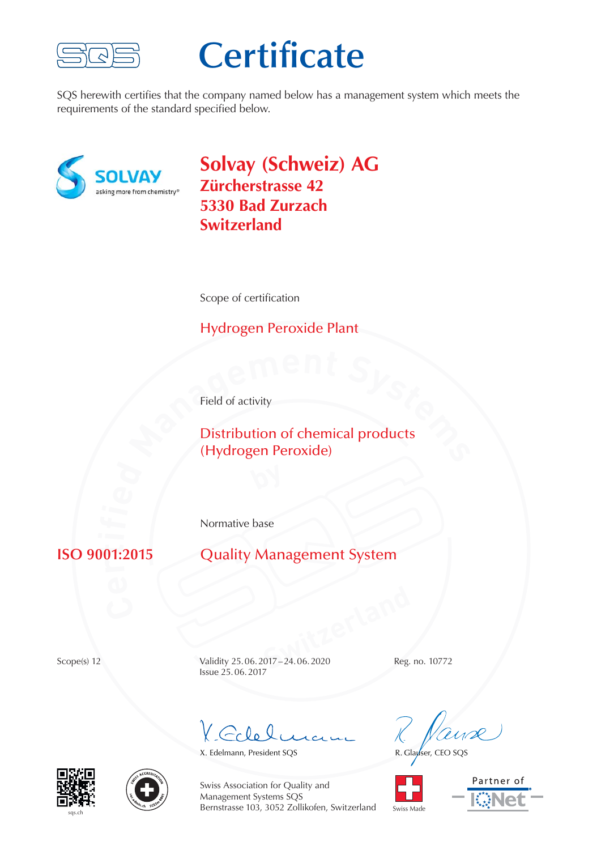

# **Certificate**

SQS herewith certifies that the company named below has a management system which meets the requirements of the standard specified below.



**Solvay (Schweiz) AG Zürcherstrasse 42 5330 Bad Zurzach Switzerland**

Scope of certification

### Hydrogen Peroxide Plant

Field of activity

**Field of activity**<br> **Distribution of chemical products**<br> **(Hydrogen Peroxide)** Distribution of chemical products (Hydrogen Peroxide)

Normative base

#### **r** $n_1$

**Quality Management System** 

**Switzerland**<br> **Switz-24.06.2020**<br> **Switzerland**<br> **Switzerland**<br> **Reg.** Scope(s) 12 Validity 25.06.2017 – 24.06.2020 Reg. no. 10772 Issue 25. 06. 2017

 $G_{c}\mathfrak{l}_{\alpha}\mathfrak{l}_{\alpha}$ 

X. Edelmann, President SQS<br>R. Glauser, CEO SQS









Swiss Association for Quality and Management Systems SQS Bernstrasse 103, 3052 Zollikofen, Switzerland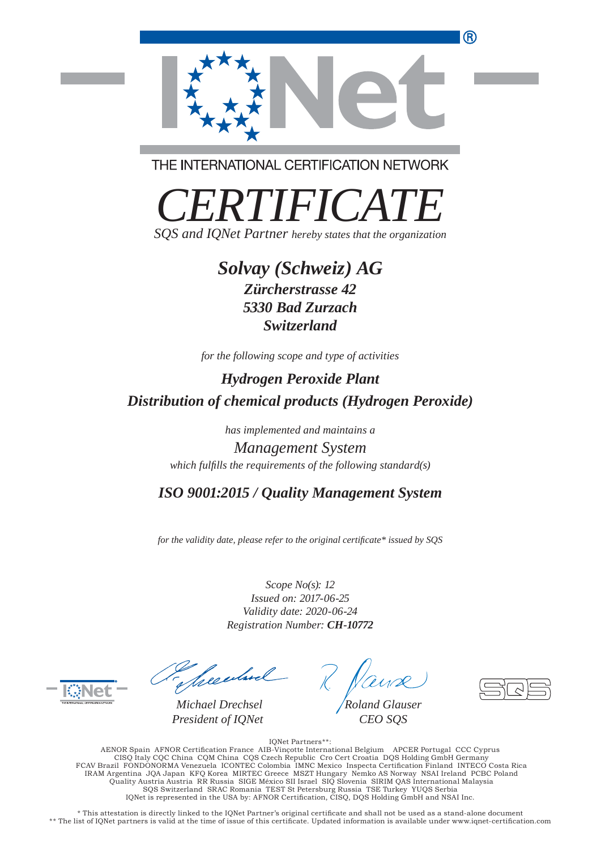

THE INTERNATIONAL CERTIFICATION NETWORK

*CERTIFICATE SQS and IQNet Partner hereby states that the organization*

## *Solvay (Schweiz) AG*

*Zürcherstrasse 42 5330 Bad Zurzach Switzerland*

*for the following scope and type of activities*

*Hydrogen Peroxide Plant Distribution of chemical products (Hydrogen Peroxide)*

*has implemented and maintains a*

*Management System which fulfills the requirements of the following standard(s)* 

*ISO 9001:2015 / Quality Management System*

*for the validity date, please refer to the original certificate\* issued by SQS* 

*Scope No(s): 12 Issued on: 2017-06-25 Validity date: 2020-06-24 Registration Number: CH-10772*

 $\overline{a}$ 

Theeduel

*Michael Drechsel President of IQNet*

*Roland Glauser CEO SQS*

IQNet Partners\*\*: AENOR Spain AFNOR Certification France AIB-Vinçotte International Belgium APCER Portugal CCC Cyprus<br>CISQ Italy CQC China COM China CQS Czech Republic Cro Cert Croatia DQS Holding GmbH Germany<br>FCAV Brazil FONDONORMA Venezue Quality Austria Austria RR Russia SIGE México SII Israel SIQ Slovenia SIRIM QAS International Malaysia SQS Switzerland SRAC Romania TEST St Petersburg Russia TSE Turkey YUQS Serbia IQNet is represented in the USA by: AFNOR Certification, CISQ, DQS Holding GmbH and NSAI Inc.

\* This attestation is directly linked to the IONet Partner's original certificate and shall not be used as a stand-alone document \*\* The list of IQNet partners is valid at the time of issue of this certificate. Updated information is available under www.iqnet-certification.com